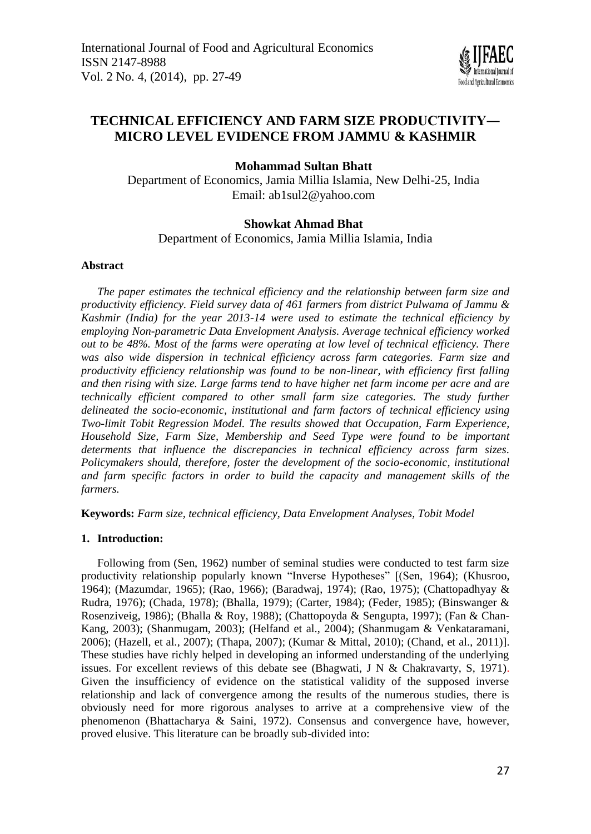

# **TECHNICAL EFFICIENCY AND FARM SIZE PRODUCTIVITY― MICRO LEVEL EVIDENCE FROM JAMMU & KASHMIR**

**Mohammad Sultan Bhatt**

Department of Economics, Jamia Millia Islamia, New Delhi-25, India Email: [ab1sul2@yahoo.com](mailto:ab1sul2@yahoo.com)

## **Showkat Ahmad Bhat**

Department of Economics, Jamia Millia Islamia, India

## **Abstract**

*The paper estimates the technical efficiency and the relationship between farm size and productivity efficiency. Field survey data of 461 farmers from district Pulwama of Jammu & Kashmir (India) for the year 2013-14 were used to estimate the technical efficiency by employing Non-parametric Data Envelopment Analysis. Average technical efficiency worked out to be 48%. Most of the farms were operating at low level of technical efficiency. There was also wide dispersion in technical efficiency across farm categories. Farm size and productivity efficiency relationship was found to be non-linear, with efficiency first falling and then rising with size. Large farms tend to have higher net farm income per acre and are technically efficient compared to other small farm size categories. The study further delineated the socio-economic, institutional and farm factors of technical efficiency using Two-limit Tobit Regression Model. The results showed that Occupation, Farm Experience, Household Size, Farm Size, Membership and Seed Type were found to be important determents that influence the discrepancies in technical efficiency across farm sizes. Policymakers should, therefore, foster the development of the socio-economic, institutional and farm specific factors in order to build the capacity and management skills of the farmers.*

**Keywords:** *Farm size, technical efficiency, Data Envelopment Analyses, Tobit Model*

## **1. Introduction:**

Following from (Sen, 1962) number of seminal studies were conducted to test farm size productivity relationship popularly known "Inverse Hypotheses" [(Sen, 1964); (Khusroo, 1964); (Mazumdar, 1965); (Rao, 1966); (Baradwaj, 1974); (Rao, 1975); (Chattopadhyay & Rudra, 1976); (Chada, 1978); (Bhalla, 1979); (Carter, 1984); (Feder, 1985); (Binswanger & Rosenziveig, 1986); (Bhalla & Roy, 1988); (Chattopoyda & Sengupta, 1997); (Fan & Chan-Kang, 2003); (Shanmugam, 2003); (Helfand et al., 2004); (Shanmugam & Venkataramani, 2006); (Hazell, et al., 2007); (Thapa, 2007); (Kumar & Mittal, 2010); (Chand, et al., 2011)]. These studies have richly helped in developing an informed understanding of the underlying issues. For excellent reviews of this debate see (Bhagwati, J N & Chakravarty, S, 1971). Given the insufficiency of evidence on the statistical validity of the supposed inverse relationship and lack of convergence among the results of the numerous studies, there is obviously need for more rigorous analyses to arrive at a comprehensive view of the phenomenon (Bhattacharya & Saini, 1972). Consensus and convergence have, however, proved elusive. This literature can be broadly sub-divided into: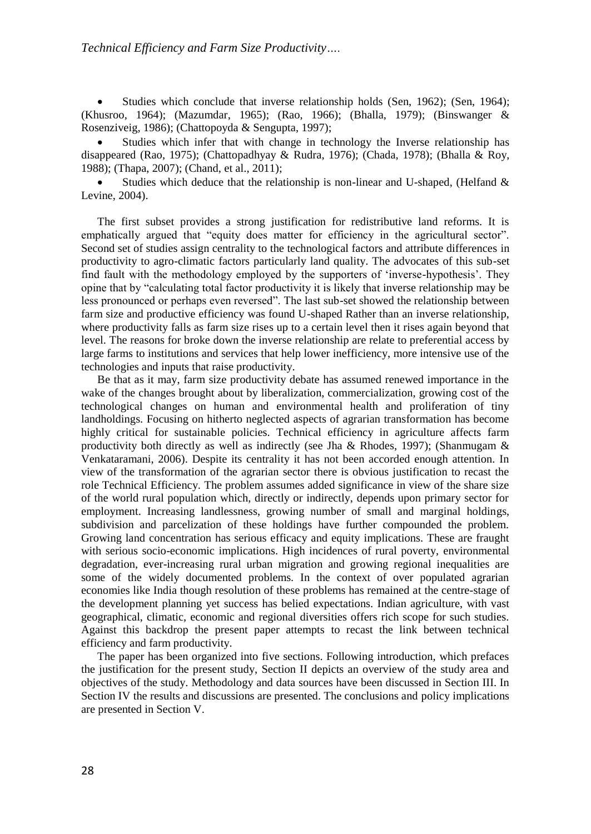$\bullet$  Studies which conclude that inverse relationship holds (Sen, 1962); (Sen, 1964); (Khusroo, 1964); (Mazumdar, 1965); (Rao, 1966); (Bhalla, 1979); (Binswanger & Rosenziveig, 1986); (Chattopoyda & Sengupta, 1997);

 Studies which infer that with change in technology the Inverse relationship has disappeared (Rao, 1975); (Chattopadhyay & Rudra, 1976); (Chada, 1978); (Bhalla & Roy, 1988); (Thapa, 2007); (Chand, et al., 2011);

 Studies which deduce that the relationship is non-linear and U-shaped, (Helfand & Levine, 2004).

The first subset provides a strong justification for redistributive land reforms. It is emphatically argued that "equity does matter for efficiency in the agricultural sector". Second set of studies assign centrality to the technological factors and attribute differences in productivity to agro-climatic factors particularly land quality. The advocates of this sub-set find fault with the methodology employed by the supporters of 'inverse-hypothesis'. They opine that by "calculating total factor productivity it is likely that inverse relationship may be less pronounced or perhaps even reversed". The last sub-set showed the relationship between farm size and productive efficiency was found U-shaped Rather than an inverse relationship, where productivity falls as farm size rises up to a certain level then it rises again beyond that level. The reasons for broke down the inverse relationship are relate to preferential access by large farms to institutions and services that help lower inefficiency, more intensive use of the technologies and inputs that raise productivity.

Be that as it may, farm size productivity debate has assumed renewed importance in the wake of the changes brought about by liberalization, commercialization, growing cost of the technological changes on human and environmental health and proliferation of tiny landholdings. Focusing on hitherto neglected aspects of agrarian transformation has become highly critical for sustainable policies. Technical efficiency in agriculture affects farm productivity both directly as well as indirectly (see Jha & Rhodes, 1997); (Shanmugam & Venkataramani, 2006). Despite its centrality it has not been accorded enough attention. In view of the transformation of the agrarian sector there is obvious justification to recast the role Technical Efficiency. The problem assumes added significance in view of the share size of the world rural population which, directly or indirectly, depends upon primary sector for employment. Increasing landlessness, growing number of small and marginal holdings, subdivision and parcelization of these holdings have further compounded the problem. Growing land concentration has serious efficacy and equity implications. These are fraught with serious socio-economic implications. High incidences of rural poverty, environmental degradation, ever-increasing rural urban migration and growing regional inequalities are some of the widely documented problems. In the context of over populated agrarian economies like India though resolution of these problems has remained at the centre-stage of the development planning yet success has belied expectations. Indian agriculture, with vast geographical, climatic, economic and regional diversities offers rich scope for such studies. Against this backdrop the present paper attempts to recast the link between technical efficiency and farm productivity.

The paper has been organized into five sections. Following introduction, which prefaces the justification for the present study, Section II depicts an overview of the study area and objectives of the study. Methodology and data sources have been discussed in Section III. In Section IV the results and discussions are presented. The conclusions and policy implications are presented in Section V.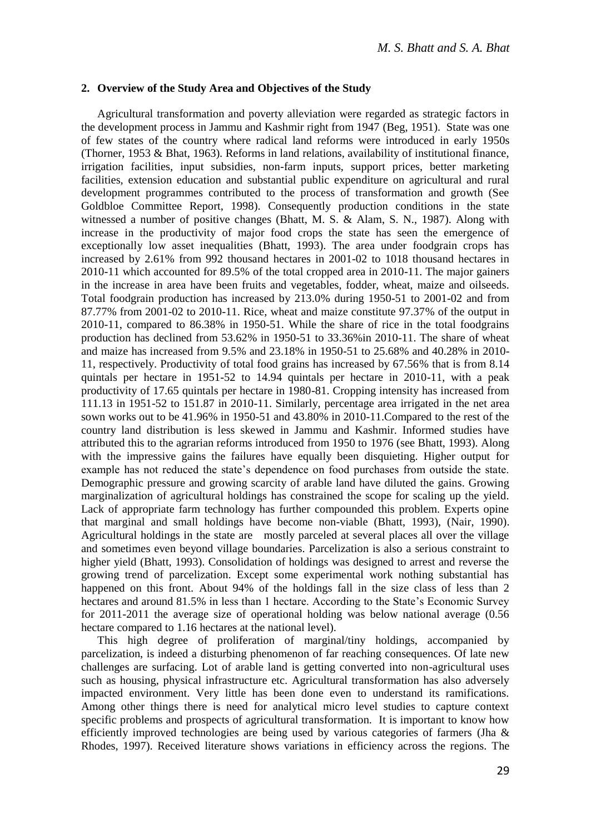#### **2. Overview of the Study Area and Objectives of the Study**

Agricultural transformation and poverty alleviation were regarded as strategic factors in the development process in Jammu and Kashmir right from 1947 (Beg, 1951). State was one of few states of the country where radical land reforms were introduced in early 1950s (Thorner, 1953 & Bhat, 1963). Reforms in land relations, availability of institutional finance, irrigation facilities, input subsidies, non-farm inputs, support prices, better marketing facilities, extension education and substantial public expenditure on agricultural and rural development programmes contributed to the process of transformation and growth (See Goldbloe Committee Report, 1998). Consequently production conditions in the state witnessed a number of positive changes (Bhatt, M. S. & Alam, S. N., 1987). Along with increase in the productivity of major food crops the state has seen the emergence of exceptionally low asset inequalities (Bhatt, 1993). The area under foodgrain crops has increased by 2.61% from 992 thousand hectares in 2001-02 to 1018 thousand hectares in 2010-11 which accounted for 89.5% of the total cropped area in 2010-11. The major gainers in the increase in area have been fruits and vegetables, fodder, wheat, maize and oilseeds. Total foodgrain production has increased by 213.0% during 1950-51 to 2001-02 and from 87.77% from 2001-02 to 2010-11. Rice, wheat and maize constitute 97.37% of the output in 2010-11, compared to 86.38% in 1950-51. While the share of rice in the total foodgrains production has declined from 53.62% in 1950-51 to 33.36%in 2010-11. The share of wheat and maize has increased from 9.5% and 23.18% in 1950-51 to 25.68% and 40.28% in 2010- 11, respectively. Productivity of total food grains has increased by 67.56% that is from 8.14 quintals per hectare in 1951-52 to 14.94 quintals per hectare in 2010-11, with a peak productivity of 17.65 quintals per hectare in 1980-81. Cropping intensity has increased from 111.13 in 1951-52 to 151.87 in 2010-11. Similarly, percentage area irrigated in the net area sown works out to be 41.96% in 1950-51 and 43.80% in 2010-11.Compared to the rest of the country land distribution is less skewed in Jammu and Kashmir. Informed studies have attributed this to the agrarian reforms introduced from 1950 to 1976 (see Bhatt, 1993). Along with the impressive gains the failures have equally been disquieting. Higher output for example has not reduced the state's dependence on food purchases from outside the state. Demographic pressure and growing scarcity of arable land have diluted the gains. Growing marginalization of agricultural holdings has constrained the scope for scaling up the yield. Lack of appropriate farm technology has further compounded this problem. Experts opine that marginal and small holdings have become non-viable (Bhatt, 1993), (Nair, 1990). Agricultural holdings in the state are mostly parceled at several places all over the village and sometimes even beyond village boundaries. Parcelization is also a serious constraint to higher yield (Bhatt, 1993). Consolidation of holdings was designed to arrest and reverse the growing trend of parcelization. Except some experimental work nothing substantial has happened on this front. About 94% of the holdings fall in the size class of less than 2 hectares and around 81.5% in less than 1 hectare. According to the State's Economic Survey for 2011-2011 the average size of operational holding was below national average (0.56 hectare compared to 1.16 hectares at the national level).

This high degree of proliferation of marginal/tiny holdings, accompanied by parcelization, is indeed a disturbing phenomenon of far reaching consequences. Of late new challenges are surfacing. Lot of arable land is getting converted into non-agricultural uses such as housing, physical infrastructure etc. Agricultural transformation has also adversely impacted environment. Very little has been done even to understand its ramifications. Among other things there is need for analytical micro level studies to capture context specific problems and prospects of agricultural transformation. It is important to know how efficiently improved technologies are being used by various categories of farmers (Jha & Rhodes, 1997). Received literature shows variations in efficiency across the regions. The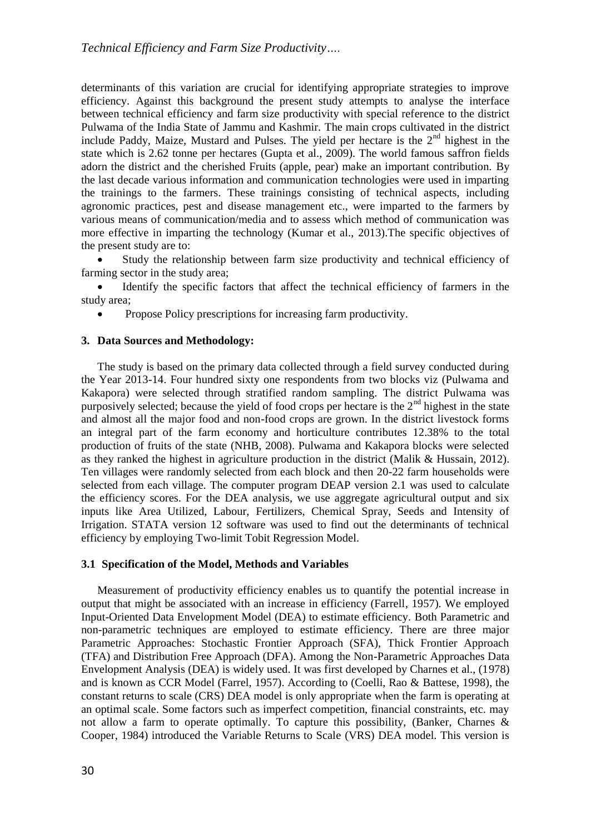determinants of this variation are crucial for identifying appropriate strategies to improve efficiency. Against this background the present study attempts to analyse the interface between technical efficiency and farm size productivity with special reference to the district Pulwama of the India State of Jammu and Kashmir. The main crops cultivated in the district include Paddy, Maize, Mustard and Pulses. The yield per hectare is the  $2<sup>nd</sup>$  highest in the state which is 2.62 tonne per hectares (Gupta et al., 2009). The world famous saffron fields adorn the district and the cherished Fruits (apple, pear) make an important contribution. By the last decade various information and communication technologies were used in imparting the trainings to the farmers. These trainings consisting of technical aspects, including agronomic practices, pest and disease management etc., were imparted to the farmers by various means of communication/media and to assess which method of communication was more effective in imparting the technology (Kumar et al., 2013).The specific objectives of the present study are to:

 Study the relationship between farm size productivity and technical efficiency of farming sector in the study area;

 Identify the specific factors that affect the technical efficiency of farmers in the study area;

• Propose Policy prescriptions for increasing farm productivity.

#### **3. Data Sources and Methodology:**

The study is based on the primary data collected through a field survey conducted during the Year 2013-14. Four hundred sixty one respondents from two blocks viz (Pulwama and Kakapora) were selected through stratified random sampling. The district Pulwama was purposively selected; because the yield of food crops per hectare is the  $2<sup>nd</sup>$  highest in the state and almost all the major food and non-food crops are grown. In the district livestock forms an integral part of the farm economy and horticulture contributes 12.38% to the total production of fruits of the state (NHB, 2008). Pulwama and Kakapora blocks were selected as they ranked the highest in agriculture production in the district (Malik & Hussain, 2012). Ten villages were randomly selected from each block and then 20-22 farm households were selected from each village. The computer program DEAP version 2.1 was used to calculate the efficiency scores. For the DEA analysis, we use aggregate agricultural output and six inputs like Area Utilized, Labour, Fertilizers, Chemical Spray, Seeds and Intensity of Irrigation. STATA version 12 software was used to find out the determinants of technical efficiency by employing Two-limit Tobit Regression Model.

#### **3.1 Specification of the Model, Methods and Variables**

Measurement of productivity efficiency enables us to quantify the potential increase in output that might be associated with an increase in efficiency (Farrell, 1957). We employed Input-Oriented Data Envelopment Model (DEA) to estimate efficiency. Both Parametric and non-parametric techniques are employed to estimate efficiency. There are three major Parametric Approaches: Stochastic Frontier Approach (SFA), Thick Frontier Approach (TFA) and Distribution Free Approach (DFA). Among the Non-Parametric Approaches Data Envelopment Analysis (DEA) is widely used. It was first developed by Charnes et al., (1978) and is known as CCR Model (Farrel, 1957). According to (Coelli, Rao & Battese, 1998), the constant returns to scale (CRS) DEA model is only appropriate when the farm is operating at an optimal scale. Some factors such as imperfect competition, financial constraints, etc. may not allow a farm to operate optimally. To capture this possibility, (Banker, Charnes & Cooper, 1984) introduced the Variable Returns to Scale (VRS) DEA model. This version is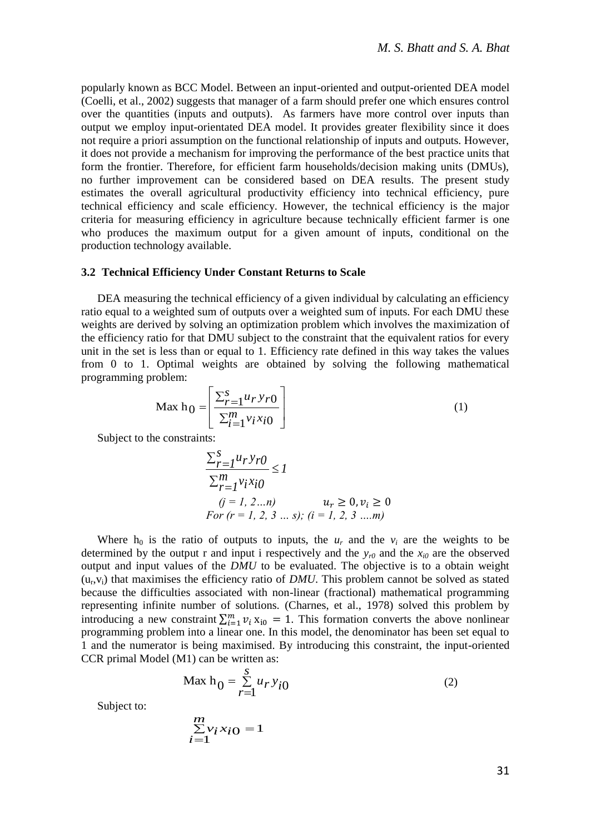popularly known as BCC Model. Between an input-oriented and output-oriented DEA model (Coelli, et al., 2002) suggests that manager of a farm should prefer one which ensures control over the quantities (inputs and outputs). As farmers have more control over inputs than output we employ input-orientated DEA model. It provides greater flexibility since it does not require a priori assumption on the functional relationship of inputs and outputs. However, it does not provide a mechanism for improving the performance of the best practice units that form the frontier. Therefore, for efficient farm households/decision making units (DMUs), no further improvement can be considered based on DEA results. The present study estimates the overall agricultural productivity efficiency into technical efficiency, pure technical efficiency and scale efficiency. However, the technical efficiency is the major criteria for measuring efficiency in agriculture because technically efficient farmer is one who produces the maximum output for a given amount of inputs, conditional on the production technology available.

#### **3.2 Technical Efficiency Under Constant Returns to Scale**

DEA measuring the technical efficiency of a given individual by calculating an efficiency ratio equal to a weighted sum of outputs over a weighted sum of inputs. For each DMU these weights are derived by solving an optimization problem which involves the maximization of the efficiency ratio for that DMU subject to the constraint that the equivalent ratios for every unit in the set is less than or equal to 1. Efficiency rate defined in this way takes the values from 0 to 1. Optimal weights are obtained by solving the following mathematical programming problem:

$$
\text{Max } \mathbf{h}_0 = \left[ \frac{\sum_{r=1}^{S} u_r y_r o}{\sum_{i=1}^{m} v_i x_i o} \right] \tag{1}
$$

Subject to the constraints:

$$
\frac{\sum_{r=1}^{S} u_r y_{r0}}{\sum_{r=1}^{m} v_i x_{i0}} \le 1
$$
  
(j = 1, 2...n)  
For (r = 1, 2, 3 ... s); (i = 1, 2, 3 ... m)

Where  $h_0$  is the ratio of outputs to inputs, the  $u_r$  and the  $v_i$  are the weights to be determined by the output r and input i respectively and the  $y_r$ <sup>0</sup> and the  $x_{i0}$  are the observed output and input values of the *DMU* to be evaluated. The objective is to a obtain weight  $(u_r, v_i)$  that maximises the efficiency ratio of *DMU*. This problem cannot be solved as stated because the difficulties associated with non-linear (fractional) mathematical programming representing infinite number of solutions. (Charnes, et al., 1978) solved this problem by introducing a new constraint  $\sum_{i=1}^{m} v_i x_{i0} = 1$ . This formation converts the above nonlinear programming problem into a linear one. In this model, the denominator has been set equal to 1 and the numerator is being maximised. By introducing this constraint, the input-oriented CCR primal Model (M1) can be written as:

$$
\text{Max } h_0 = \sum_{r=1}^{S} u_r y_{i0} \tag{2}
$$

Subject to:

$$
\sum_{i=1}^{m} v_i x_i 0 = 1
$$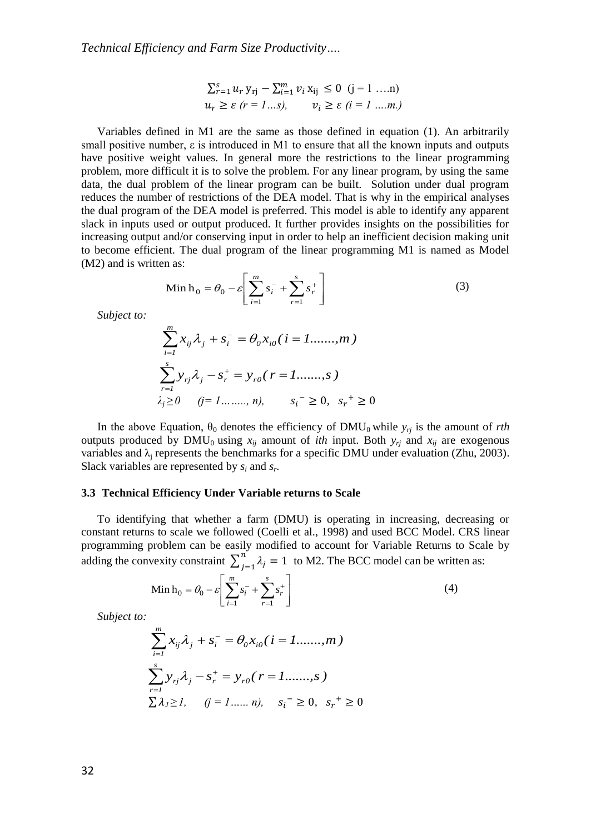$$
\sum_{r=1}^{s} u_r y_{rj} - \sum_{i=1}^{m} v_i x_{ij} \le 0 \quad (j = 1 \dots n)
$$
  

$$
u_r \ge \varepsilon \ (r = 1 \dots s), \qquad v_i \ge \varepsilon \ (i = 1 \dots m)
$$

Variables defined in M1 are the same as those defined in equation (1). An arbitrarily small positive number,  $\varepsilon$  is introduced in M1 to ensure that all the known inputs and outputs have positive weight values. In general more the restrictions to the linear programming problem, more difficult it is to solve the problem. For any linear program, by using the same data, the dual problem of the linear program can be built. Solution under dual program reduces the number of restrictions of the DEA model. That is why in the empirical analyses the dual program of the DEA model is preferred. This model is able to identify any apparent slack in inputs used or output produced. It further provides insights on the possibilities for increasing output and/or conserving input in order to help an inefficient decision making unit to become efficient. The dual program of the linear programming M1 is named as Model (M2) and is written as:

Min 
$$
h_0 = \theta_0 - \varepsilon \left[ \sum_{i=1}^m s_i^- + \sum_{r=1}^s s_r^+ \right]
$$
 (3)

*Subject to:*

$$
\sum_{i=1}^{m} x_{ij} \lambda_j + s_i^- = \theta_0 x_{i0} (i = 1, \dots, m)
$$
  

$$
\sum_{r=1}^{s} y_{rj} \lambda_j - s_r^+ = y_{r0} (r = 1, \dots, s)
$$
  

$$
\lambda_j \ge 0 \quad (j = 1, \dots, n), \qquad s_i^- \ge 0, \quad s_r^+ \ge 0
$$

In the above Equation,  $\theta_0$  denotes the efficiency of DMU<sub>0</sub> while  $y_{rj}$  is the amount of *rth* outputs produced by DMU<sub>0</sub> using  $x_{ij}$  amount of *ith* input. Both  $y_{ri}$  and  $x_{ij}$  are exogenous variables and  $\lambda_i$  represents the benchmarks for a specific DMU under evaluation (Zhu, 2003). Slack variables are represented by  $s_i$  and  $s_r$ .

#### **3.3 Technical Efficiency Under Variable returns to Scale**

To identifying that whether a farm (DMU) is operating in increasing, decreasing or constant returns to scale we followed (Coelli et al., 1998) and used BCC Model. CRS linear programming problem can be easily modified to account for Variable Returns to Scale by adding the convexity constraint  $\sum_{i=1}^{n} \lambda_i = 1$  $\sum_{j=1}^{n} \lambda_j = 1$  to M2. The BCC model can be written as:

Min 
$$
h_0 = \theta_0 - \varepsilon \left[ \sum_{i=1}^{m} s_i^{-} + \sum_{r=1}^{s} s_r^{+} \right]
$$
 (4)

*Subject to:*

$$
\sum_{i=1}^{m} x_{ij} \lambda_j + s_i^- = \theta_0 x_{i0} (i = 1, \dots, m)
$$
  

$$
\sum_{r=1}^{s} y_{rj} \lambda_j - s_r^+ = y_{r0} (r = 1, \dots, s)
$$
  

$$
\sum \lambda_j \ge 1, \quad (j = 1, \dots, n), \quad s_i^- \ge 0, \quad s_r^+ \ge 0
$$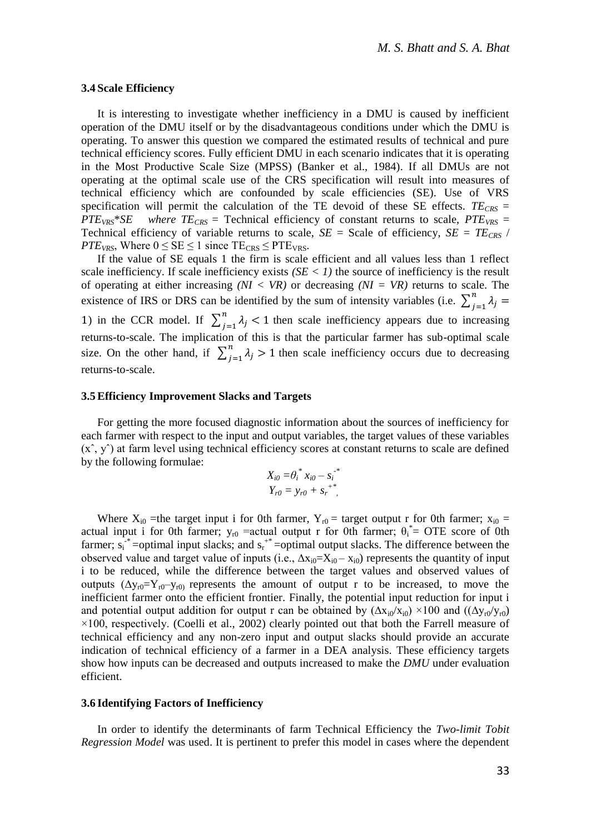#### **3.4 Scale Efficiency**

It is interesting to investigate whether inefficiency in a DMU is caused by inefficient operation of the DMU itself or by the disadvantageous conditions under which the DMU is operating. To answer this question we compared the estimated results of technical and pure technical efficiency scores. Fully efficient DMU in each scenario indicates that it is operating in the Most Productive Scale Size (MPSS) (Banker et al., 1984). If all DMUs are not operating at the optimal scale use of the CRS specification will result into measures of technical efficiency which are confounded by scale efficiencies (SE). Use of VRS specification will permit the calculation of the TE devoid of these SE effects.  $TE_{CRS}$  = *PTEVRS*\**SE where TECRS =* Technical efficiency of constant returns to scale, *PTEVRS* = Technical efficiency of variable returns to scale,  $SE = Scale$  of efficiency,  $SE = TE_{CRS}$  / *PTE*<sub>*VRS*</sub>, Where  $0 \leq SE \leq 1$  since  $TE_{CRS} \leq PTE_{VRS}$ .

If the value of SE equals 1 the firm is scale efficient and all values less than 1 reflect scale inefficiency. If scale inefficiency exists  $(SE < 1)$  the source of inefficiency is the result of operating at either increasing *(NI < VR)* or decreasing *(NI = VR)* returns to scale. The existence of IRS or DRS can be identified by the sum of intensity variables (i.e.  $\sum_{i=1}^{n} \lambda_i =$  $j=1$ 1) in the CCR model. If  $\sum_{i=1}^{n} \lambda_i < 1$  $\sum_{j=1}^{n} \lambda_j$  < 1 then scale inefficiency appears due to increasing returns-to-scale. The implication of this is that the particular farmer has sub-optimal scale size. On the other hand, if  $\sum_{i=1}^{n} \lambda_i > 1$  $\sum_{j=1}^{n} \lambda_j > 1$  then scale inefficiency occurs due to decreasing returns-to-scale.

#### **3.5Efficiency Improvement Slacks and Targets**

For getting the more focused diagnostic information about the sources of inefficiency for each farmer with respect to the input and output variables, the target values of these variables  $(x, y')$  at farm level using technical efficiency scores at constant returns to scale are defined by the following formulae:

$$
X_{i0} = \theta_i^* x_{i0} - s_i^{-*}
$$
  

$$
Y_{r0} = y_{r0} + s_r^{-*},
$$

Where  $X_{i0}$  =the target input i for 0th farmer,  $Y_{r0}$  = target output r for 0th farmer;  $x_{i0}$  = actual input i for 0th farmer;  $y_{r0}$  =actual output r for 0th farmer;  $\theta_i^* = OTE$  score of 0th farmer;  $s_i^{**}$  =optimal input slacks; and  $s_i^{**}$  =optimal output slacks. The difference between the observed value and target value of inputs (i.e.,  $\Delta x_{i0} = X_{i0} - x_{i0}$ ) represents the quantity of input i to be reduced, while the difference between the target values and observed values of outputs  $(\Delta y_{r0} = Y_{r0} - y_{r0})$  represents the amount of output r to be increased, to move the inefficient farmer onto the efficient frontier. Finally, the potential input reduction for input i and potential output addition for output r can be obtained by  $(\Delta x_{i0}/x_{i0}) \times 100$  and  $((\Delta y_{r0}/y_{r0})$  $\times$ 100, respectively. (Coelli et al., 2002) clearly pointed out that both the Farrell measure of technical efficiency and any non-zero input and output slacks should provide an accurate indication of technical efficiency of a farmer in a DEA analysis. These efficiency targets show how inputs can be decreased and outputs increased to make the *DMU* under evaluation efficient.

#### **3.6 Identifying Factors of Inefficiency**

In order to identify the determinants of farm Technical Efficiency the *Two-limit Tobit Regression Model* was used. It is pertinent to prefer this model in cases where the dependent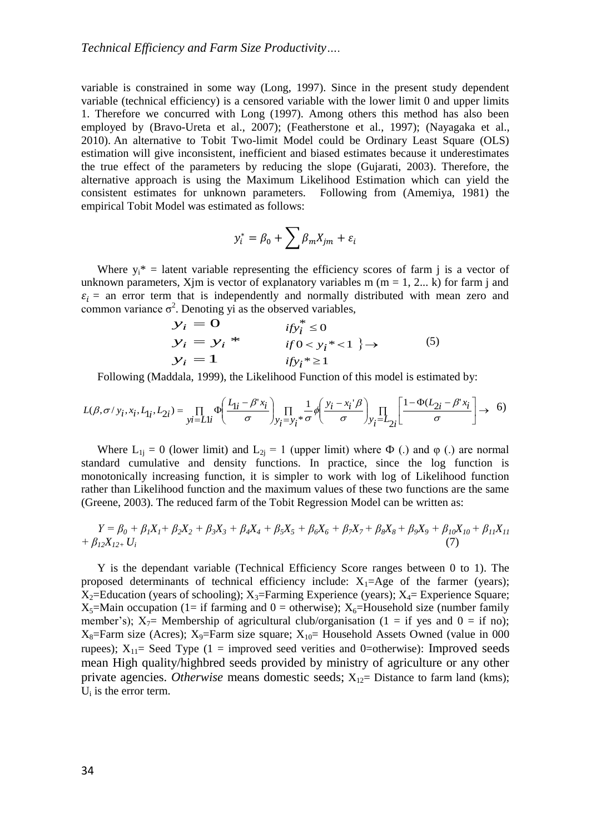variable is constrained in some way (Long, 1997). Since in the present study dependent variable (technical efficiency) is a censored variable with the lower limit 0 and upper limits 1. Therefore we concurred with Long (1997). Among others this method has also been employed by (Bravo-Ureta et al., 2007); (Featherstone et al., 1997); (Nayagaka et al., 2010). An alternative to Tobit Two-limit Model could be Ordinary Least Square (OLS) estimation will give inconsistent, inefficient and biased estimates because it underestimates the true effect of the parameters by reducing the slope (Gujarati, 2003). Therefore, the alternative approach is using the Maximum Likelihood Estimation which can yield the consistent estimates for unknown parameters. Following from (Amemiya, 1981) the empirical Tobit Model was estimated as follows:

$$
y_i^* = \beta_0 + \sum \beta_m X_{jm} + \varepsilon_i
$$

Where  $y_i^*$  = latent variable representing the efficiency scores of farm j is a vector of unknown parameters, Xjm is vector of explanatory variables m ( $m = 1, 2...$  k) for farm j and  $\varepsilon_i$  = an error term that is independently and normally distributed with mean zero and common variance  $\sigma^2$ . Denoting yi as the observed variables,<br>  $y_i = 0$   $i f y_i^* \le 0$ 

$$
y_i = 0
$$
  
\n
$$
y_i = y_i * \t\t\t\tif 0 < y_i * < 1
$$
  
\n
$$
y_i = 1
$$
  
\n
$$
y_i = 1
$$
  
\n
$$
y_i^* \ge 1
$$
  
\n(5)

Following (Maddala, 1999), the Likelihood Function of this model is estimated by:

$$
L(\beta, \sigma / y_i, x_i, L_{1i}, L_{2i}) = \prod_{yi=L1i} \Phi\left(\frac{L_{1i} - \beta' x_i}{\sigma}\right)_{y_i=y_i} \prod_{i} \frac{1}{\sigma} \phi\left(\frac{y_i - x_i' \beta}{\sigma}\right)_{y_i=L_{2i}} \left[\frac{1 - \Phi(L_{2i} - \beta' x_i)}{\sigma}\right] \to \quad 6
$$

Where  $L_{1j} = 0$  (lower limit) and  $L_{2j} = 1$  (upper limit) where  $\Phi$  (.) and  $\phi$  (.) are normal standard cumulative and density functions. In practice, since the log function is monotonically increasing function, it is simpler to work with log of Likelihood function rather than Likelihood function and the maximum values of these two functions are the same (Greene, 2003). The reduced farm of the Tobit Regression Model can be written as:

$$
Y = \beta_0 + \beta_1 X_1 + \beta_2 X_2 + \beta_3 X_3 + \beta_4 X_4 + \beta_5 X_5 + \beta_6 X_6 + \beta_7 X_7 + \beta_8 X_8 + \beta_9 X_9 + \beta_{10} X_{10} + \beta_{11} X_{11} + \beta_{12} X_{12+} U_i
$$
\n(7)

Y is the dependant variable (Technical Efficiency Score ranges between 0 to 1). The proposed determinants of technical efficiency include:  $X_1 = Age$  of the farmer (years);  $X_2$ =Education (years of schooling);  $X_3$ =Farming Experience (years);  $X_4$ = Experience Square;  $X_5$ =Main occupation (1= if farming and 0 = otherwise);  $X_6$ =Household size (number family member's);  $X_7$ = Membership of agricultural club/organisation (1 = if yes and 0 = if no);  $X_8$ =Farm size (Acres);  $X_9$ =Farm size square;  $X_{10}$ = Household Assets Owned (value in 000 rupees);  $X_{11}$  Seed Type (1 = improved seed verities and 0=otherwise): Improved seeds mean High quality/highbred seeds provided by ministry of agriculture or any other private agencies. *Otherwise* means domestic seeds;  $X_{12}$ = Distance to farm land (kms);  $U_i$  is the error term.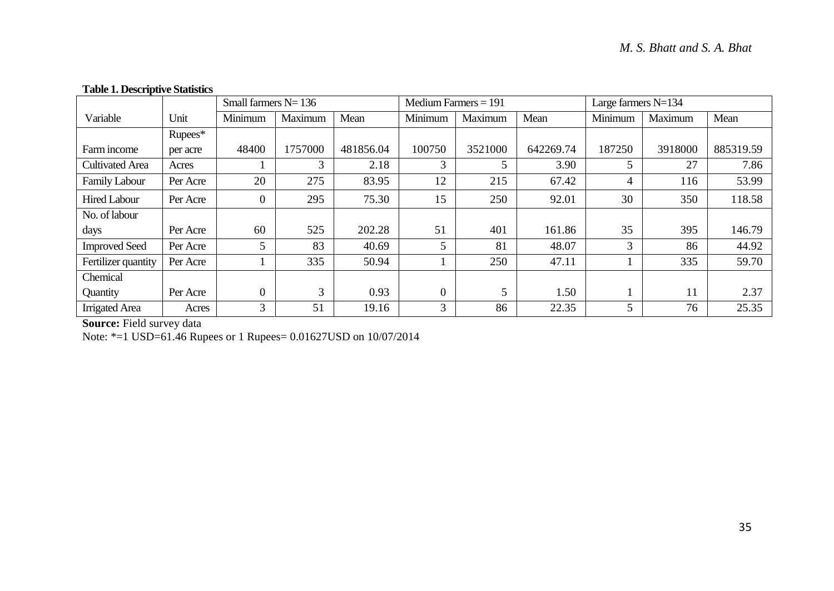## **Table 1. Descriptive Statistics**

|                        |          | Small farmers $N = 136$ |         |           | Medium Farmers $= 191$ |         |           | Large farmers $N=134$ |         |           |
|------------------------|----------|-------------------------|---------|-----------|------------------------|---------|-----------|-----------------------|---------|-----------|
| Variable               | Unit     | Minimum                 | Maximum | Mean      | Minimum                | Maximum | Mean      | Minimum               | Maximum | Mean      |
|                        | Rupees*  |                         |         |           |                        |         |           |                       |         |           |
| Farm income            | per acre | 48400                   | 1757000 | 481856.04 | 100750                 | 3521000 | 642269.74 | 187250                | 3918000 | 885319.59 |
| <b>Cultivated Area</b> | Acres    |                         | 3       | 2.18      | 3                      | 5       | 3.90      | 5                     | 27      | 7.86      |
| Family Labour          | Per Acre | 20                      | 275     | 83.95     | 12                     | 215     | 67.42     | 4                     | 116     | 53.99     |
| Hired Labour           | Per Acre | $\overline{0}$          | 295     | 75.30     | 15                     | 250     | 92.01     | 30                    | 350     | 118.58    |
| No. of labour          |          |                         |         |           |                        |         |           |                       |         |           |
| days                   | Per Acre | 60                      | 525     | 202.28    | 51                     | 401     | 161.86    | 35                    | 395     | 146.79    |
| <b>Improved Seed</b>   | Per Acre | 5                       | 83      | 40.69     | 5                      | 81      | 48.07     | 3                     | 86      | 44.92     |
| Fertilizer quantity    | Per Acre |                         | 335     | 50.94     |                        | 250     | 47.11     |                       | 335     | 59.70     |
| Chemical               |          |                         |         |           |                        |         |           |                       |         |           |
| Quantity               | Per Acre | $\overline{0}$          | 3       | 0.93      | $\Omega$               | 5       | 1.50      |                       | 11      | 2.37      |
| <b>Irrigated</b> Area  | Acres    | 3                       | 51      | 19.16     | 3                      | 86      | 22.35     | 5                     | 76      | 25.35     |

**Source:** Field survey data

Note: \*=1 USD=61.46 Rupees or 1 Rupees= 0.01627USD on 10/07/2014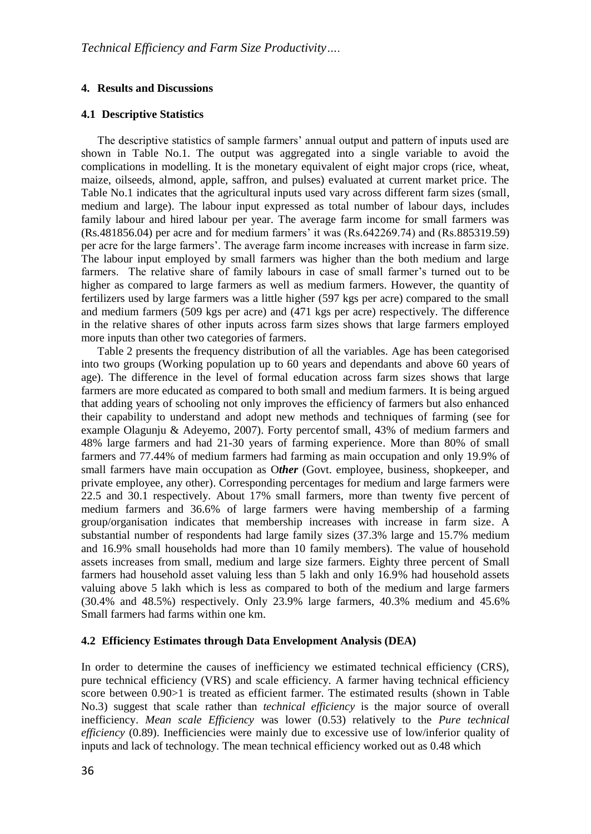## **4. Results and Discussions**

## **4.1 Descriptive Statistics**

The descriptive statistics of sample farmers' annual output and pattern of inputs used are shown in Table No.1. The output was aggregated into a single variable to avoid the complications in modelling. It is the monetary equivalent of eight major crops (rice, wheat, maize, oilseeds, almond, apple, saffron, and pulses) evaluated at current market price. The Table No.1 indicates that the agricultural inputs used vary across different farm sizes (small, medium and large). The labour input expressed as total number of labour days, includes family labour and hired labour per year. The average farm income for small farmers was (Rs.481856.04) per acre and for medium farmers' it was (Rs.642269.74) and (Rs.885319.59) per acre for the large farmers'. The average farm income increases with increase in farm size. The labour input employed by small farmers was higher than the both medium and large farmers. The relative share of family labours in case of small farmer's turned out to be higher as compared to large farmers as well as medium farmers. However, the quantity of fertilizers used by large farmers was a little higher (597 kgs per acre) compared to the small and medium farmers (509 kgs per acre) and (471 kgs per acre) respectively. The difference in the relative shares of other inputs across farm sizes shows that large farmers employed more inputs than other two categories of farmers.

Table 2 presents the frequency distribution of all the variables. Age has been categorised into two groups (Working population up to 60 years and dependants and above 60 years of age). The difference in the level of formal education across farm sizes shows that large farmers are more educated as compared to both small and medium farmers. It is being argued that adding years of schooling not only improves the efficiency of farmers but also enhanced their capability to understand and adopt new methods and techniques of farming (see for example Olagunju & Adeyemo, 2007). Forty percentof small, 43% of medium farmers and 48% large farmers and had 21-30 years of farming experience. More than 80% of small farmers and 77.44% of medium farmers had farming as main occupation and only 19.9% of small farmers have main occupation as O*ther* (Govt. employee, business, shopkeeper, and private employee, any other). Corresponding percentages for medium and large farmers were 22.5 and 30.1 respectively. About 17% small farmers, more than twenty five percent of medium farmers and 36.6% of large farmers were having membership of a farming group/organisation indicates that membership increases with increase in farm size. A substantial number of respondents had large family sizes (37.3% large and 15.7% medium and 16.9% small households had more than 10 family members). The value of household assets increases from small, medium and large size farmers. Eighty three percent of Small farmers had household asset valuing less than 5 lakh and only 16.9% had household assets valuing above 5 lakh which is less as compared to both of the medium and large farmers (30.4% and 48.5%) respectively. Only 23.9% large farmers, 40.3% medium and 45.6% Small farmers had farms within one km.

#### **4.2 Efficiency Estimates through Data Envelopment Analysis (DEA)**

In order to determine the causes of inefficiency we estimated technical efficiency (CRS), pure technical efficiency (VRS) and scale efficiency. A farmer having technical efficiency score between 0.90>1 is treated as efficient farmer. The estimated results (shown in Table No.3) suggest that scale rather than *technical efficiency* is the major source of overall inefficiency. *Mean scale Efficiency* was lower (0.53) relatively to the *Pure technical efficiency* (0.89). Inefficiencies were mainly due to excessive use of low/inferior quality of inputs and lack of technology. The mean technical efficiency worked out as 0.48 which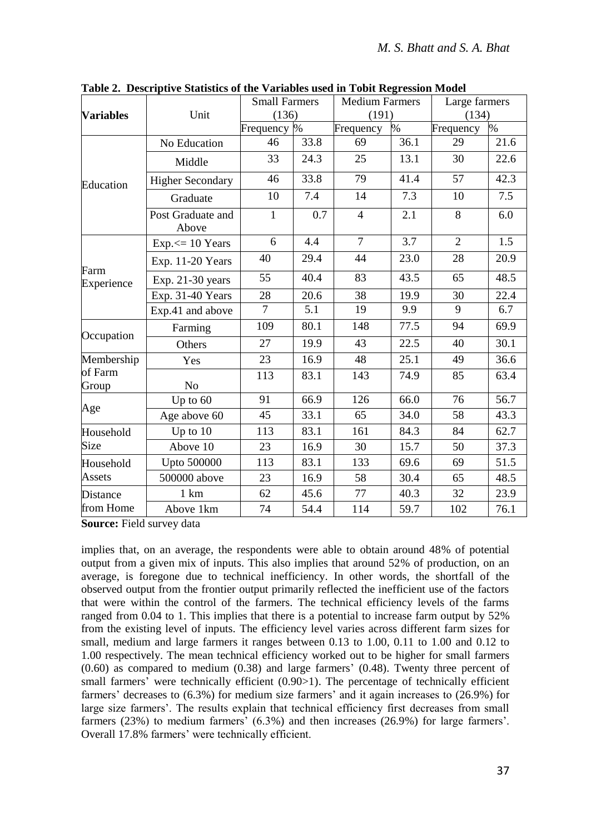|                  |                            | <b>Small Farmers</b> |      | <b>Medium Farmers</b> |      | Large farmers   |                   |
|------------------|----------------------------|----------------------|------|-----------------------|------|-----------------|-------------------|
| <b>Variables</b> | Unit                       | (136)                |      | (191)                 |      | (134)           |                   |
|                  |                            | Frequency %          |      | Frequency             | $\%$ | Frequency       | %                 |
|                  | No Education               | 46                   | 33.8 | 69                    | 36.1 | 29              | 21.6              |
| Education        | Middle                     | 33                   | 24.3 | 25                    | 13.1 | 30              | 22.6              |
|                  | <b>Higher Secondary</b>    | 46                   | 33.8 | 79                    | 41.4 | 57              | 42.3              |
|                  | Graduate                   | 10                   | 7.4  | 14                    | 7.3  | 10              | 7.5               |
|                  | Post Graduate and<br>Above | 1                    | 0.7  | $\overline{4}$        | 2.1  | 8               | 6.0               |
|                  | $Exp \leq 10$ Years        | 6                    | 4.4  | $\overline{7}$        | 3.7  | $\overline{2}$  | $\overline{1.5}$  |
| Farm             | Exp. 11-20 Years           | 40                   | 29.4 | 44                    | 23.0 | 28              | 20.9              |
| Experience       | Exp. 21-30 years           | 55                   | 40.4 | 83                    | 43.5 | 65              | 48.5              |
|                  | Exp. 31-40 Years           | $\overline{28}$      | 20.6 | $\overline{38}$       | 19.9 | $\overline{30}$ | $\overline{22.4}$ |
|                  | Exp.41 and above           | $\overline{7}$       | 5.1  | 19                    | 9.9  | 9               | 6.7               |
| Occupation       | Farming                    | 109                  | 80.1 | 148                   | 77.5 | 94              | 69.9              |
|                  | Others                     | 27                   | 19.9 | 43                    | 22.5 | 40              | 30.1              |
| Membership       | Yes                        | 23                   | 16.9 | 48                    | 25.1 | 49              | 36.6              |
| of Farm<br>Group | No                         | 113                  | 83.1 | 143                   | 74.9 | 85              | 63.4              |
|                  | Up to 60                   | 91                   | 66.9 | 126                   | 66.0 | 76              | 56.7              |
| Age              | Age above 60               | 45                   | 33.1 | 65                    | 34.0 | 58              | 43.3              |
| Household        | Up to $10$                 | 113                  | 83.1 | 161                   | 84.3 | 84              | 62.7              |
| Size             | Above 10                   | 23                   | 16.9 | 30                    | 15.7 | 50              | 37.3              |
| Household        | Upto 500000                | 113                  | 83.1 | 133                   | 69.6 | 69              | 51.5              |
| Assets           | 500000 above               | 23                   | 16.9 | 58                    | 30.4 | 65              | 48.5              |
| <b>Distance</b>  | $1 \text{ km}$             | 62                   | 45.6 | 77                    | 40.3 | 32              | 23.9              |
| from Home        | Above 1km                  | 74                   | 54.4 | 114                   | 59.7 | 102             | 76.1              |

**Table 2. Descriptive Statistics of the Variables used in Tobit Regression Model**

**Source:** Field survey data

implies that, on an average, the respondents were able to obtain around 48% of potential output from a given mix of inputs. This also implies that around 52% of production, on an average, is foregone due to technical inefficiency. In other words, the shortfall of the observed output from the frontier output primarily reflected the inefficient use of the factors that were within the control of the farmers. The technical efficiency levels of the farms ranged from 0.04 to 1. This implies that there is a potential to increase farm output by 52% from the existing level of inputs. The efficiency level varies across different farm sizes for small, medium and large farmers it ranges between 0.13 to 1.00, 0.11 to 1.00 and 0.12 to 1.00 respectively. The mean technical efficiency worked out to be higher for small farmers (0.60) as compared to medium (0.38) and large farmers' (0.48). Twenty three percent of small farmers' were technically efficient (0.90>1). The percentage of technically efficient farmers' decreases to (6.3%) for medium size farmers' and it again increases to (26.9%) for large size farmers'. The results explain that technical efficiency first decreases from small farmers (23%) to medium farmers' (6.3%) and then increases (26.9%) for large farmers'. Overall 17.8% farmers' were technically efficient.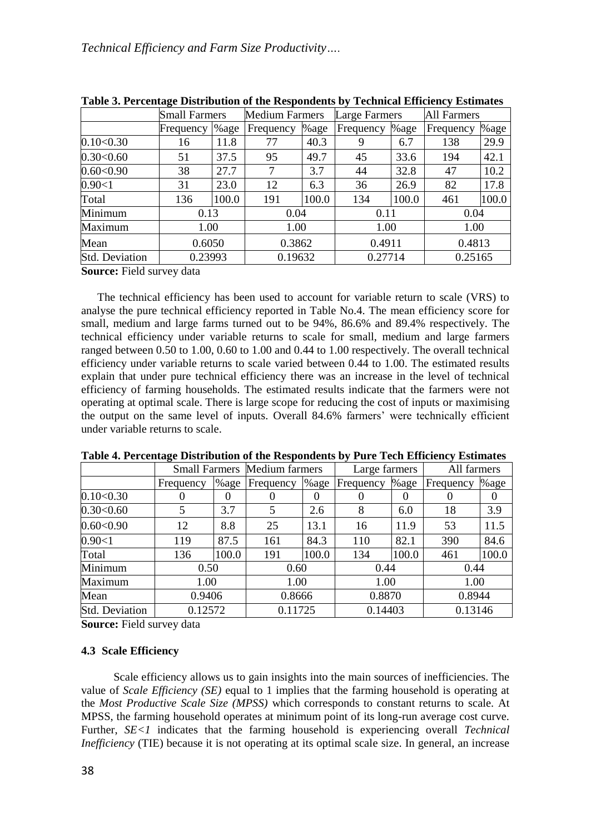|                          | <b>Small Farmers</b> |       | <b>Medium Farmers</b> |         | Large Farmers |         | <b>All Farmers</b> |         |  |
|--------------------------|----------------------|-------|-----------------------|---------|---------------|---------|--------------------|---------|--|
|                          | Frequency            | %age  | Frequency             | %age    | Frequency     | $%$ age | Frequency          | %age    |  |
| 0.10<0.30                | 16                   | 11.8  | 77                    | 40.3    | 9             | 6.7     | 138                | 29.9    |  |
| 0.30<0.60                | 51                   | 37.5  | 95                    | 49.7    | 45            | 33.6    | 194                | 42.1    |  |
| $0.60<\!\!\cdot\!\!0.90$ | 38                   | 27.7  |                       | 3.7     | 44            | 32.8    | 47                 | 10.2    |  |
| 0.90<1                   | 31                   | 23.0  | 12                    | 6.3     | 36            | 26.9    | 82                 | 17.8    |  |
| Total                    | 136                  | 100.0 | 191                   | 100.0   | 134           | 100.0   | 461                | 100.0   |  |
| Minimum                  | 0.13                 |       | 0.04                  |         | 0.11          |         | 0.04               |         |  |
| Maximum                  |                      | 1.00  |                       | 1.00    |               | 1.00    |                    | 1.00    |  |
| Mean                     | 0.6050               |       | 0.3862                |         | 0.4911        |         | 0.4813             |         |  |
| <b>Std. Deviation</b>    | 0.23993              |       |                       | 0.19632 |               | 0.27714 |                    | 0.25165 |  |

**Table 3. Percentage Distribution of the Respondents by Technical Efficiency Estimates**

**Source:** Field survey data

The technical efficiency has been used to account for variable return to scale (VRS) to analyse the pure technical efficiency reported in Table No.4. The mean efficiency score for small, medium and large farms turned out to be 94%, 86.6% and 89.4% respectively. The technical efficiency under variable returns to scale for small, medium and large farmers ranged between 0.50 to 1.00, 0.60 to 1.00 and 0.44 to 1.00 respectively. The overall technical efficiency under variable returns to scale varied between 0.44 to 1.00. The estimated results explain that under pure technical efficiency there was an increase in the level of technical efficiency of farming households. The estimated results indicate that the farmers were not operating at optimal scale. There is large scope for reducing the cost of inputs or maximising the output on the same level of inputs. Overall 84.6% farmers' were technically efficient under variable returns to scale.

|                       |           |       | <b>Small Farmers Medium farmers</b> |       | Large farmers |       | All farmers |          |
|-----------------------|-----------|-------|-------------------------------------|-------|---------------|-------|-------------|----------|
|                       | Frequency | %age  | Frequency                           | % age | Frequency     | %age  | Frequency   | $%$ age  |
| 0.10<0.30             | 0         | 0     | U                                   |       | O             | 0     | $\theta$    | $\theta$ |
| 0.30<0.60             | 5         | 3.7   |                                     | 2.6   | 8             | 6.0   | 18          | 3.9      |
| 0.60<0.90             | 12        | 8.8   | 25                                  | 13.1  | 16            | 11.9  | 53          | 11.5     |
| 0.90<1                | 119       | 87.5  | 161                                 | 84.3  | 110           | 82.1  | 390         | 84.6     |
| Total                 | 136       | 100.0 | 191                                 | 100.0 | 134           | 100.0 | 461         | 100.0    |
| Minimum               | 0.50      |       | 0.60                                |       | 0.44          |       | 0.44        |          |
| Maximum               | 1.00      |       | 1.00                                |       | 1.00          |       | 1.00        |          |
| Mean                  | 0.9406    |       | 0.8666                              |       | 0.8870        |       | 0.8944      |          |
| <b>Std. Deviation</b> | 0.12572   |       | 0.11725                             |       | 0.14403       |       | 0.13146     |          |

**Table 4. Percentage Distribution of the Respondents by Pure Tech Efficiency Estimates**

**Source:** Field survey data

#### **4.3 Scale Efficiency**

Scale efficiency allows us to gain insights into the main sources of inefficiencies. The value of *Scale Efficiency (SE)* equal to 1 implies that the farming household is operating at the *Most Productive Scale Size (MPSS)* which corresponds to constant returns to scale. At MPSS, the farming household operates at minimum point of its long-run average cost curve. Further, *SE<1* indicates that the farming household is experiencing overall *Technical Inefficiency* (TIE) because it is not operating at its optimal scale size. In general, an increase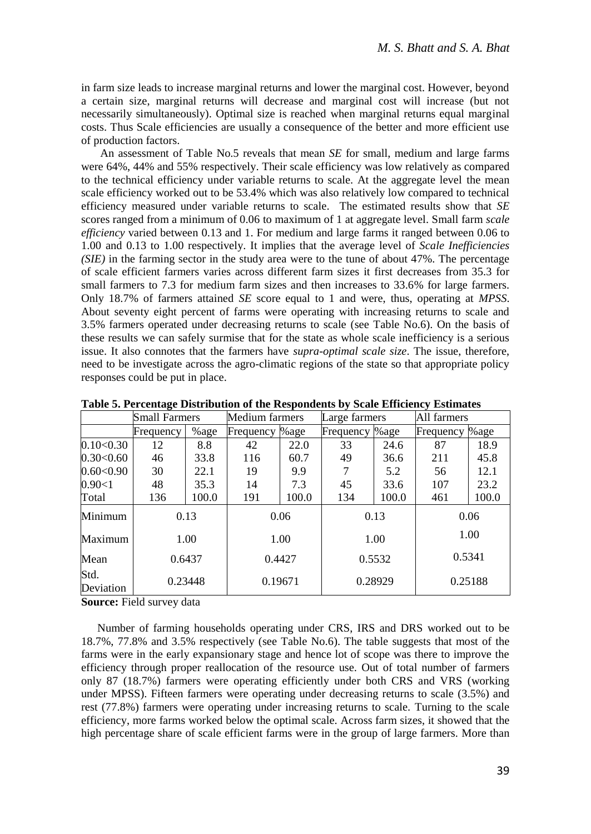in farm size leads to increase marginal returns and lower the marginal cost. However, beyond a certain size, marginal returns will decrease and marginal cost will increase (but not necessarily simultaneously). Optimal size is reached when marginal returns equal marginal costs. Thus Scale efficiencies are usually a consequence of the better and more efficient use of production factors.

An assessment of Table No.5 reveals that mean *SE* for small, medium and large farms were 64%, 44% and 55% respectively. Their scale efficiency was low relatively as compared to the technical efficiency under variable returns to scale. At the aggregate level the mean scale efficiency worked out to be 53.4% which was also relatively low compared to technical efficiency measured under variable returns to scale. The estimated results show that *SE* scores ranged from a minimum of 0.06 to maximum of 1 at aggregate level. Small farm *scale efficiency* varied between 0.13 and 1. For medium and large farms it ranged between 0.06 to 1.00 and 0.13 to 1.00 respectively. It implies that the average level of *Scale Inefficiencies (SIE)* in the farming sector in the study area were to the tune of about 47%. The percentage of scale efficient farmers varies across different farm sizes it first decreases from 35.3 for small farmers to 7.3 for medium farm sizes and then increases to 33.6% for large farmers. Only 18.7% of farmers attained *SE* score equal to 1 and were, thus, operating at *MPSS*. About seventy eight percent of farms were operating with increasing returns to scale and 3.5% farmers operated under decreasing returns to scale (see Table No.6). On the basis of these results we can safely surmise that for the state as whole scale inefficiency is a serious issue. It also connotes that the farmers have *supra-optimal scale size*. The issue, therefore, need to be investigate across the agro-climatic regions of the state so that appropriate policy responses could be put in place.

|                   | <b>Small Farmers</b> |       | Medium farmers |       | Large farmers |       | All farmers    |       |
|-------------------|----------------------|-------|----------------|-------|---------------|-------|----------------|-------|
|                   | Frequency            | %age  | Frequency      | %age  | Frequency     | %age  | Frequency %age |       |
| 0.10< 0.30        | 12                   | 8.8   | 42             | 22.0  | 33            | 24.6  | 87             | 18.9  |
| $0.30<\!\!0.60$   | 46                   | 33.8  | 116            | 60.7  | 49            | 36.6  | 211            | 45.8  |
| $0.60<\!\!0.90$   | 30                   | 22.1  | 19             | 9.9   |               | 5.2   | 56             | 12.1  |
| 0.90<1            | 48                   | 35.3  | 14             | 7.3   | 45            | 33.6  | 107            | 23.2  |
| Total             | 136                  | 100.0 | 191            | 100.0 | 134           | 100.0 | 461            | 100.0 |
| Minimum           | 0.13                 |       | 0.06           |       | 0.13          |       | 0.06           |       |
| Maximum           | 1.00                 |       | 1.00           |       | 1.00          |       | 1.00           |       |
| Mean              | 0.6437               |       | 0.4427         |       | 0.5532        |       | 0.5341         |       |
| Std.<br>Deviation | 0.23448              |       | 0.19671        |       | 0.28929       |       | 0.25188        |       |

**Table 5. Percentage Distribution of the Respondents by Scale Efficiency Estimates**

**Source:** Field survey data

Number of farming households operating under CRS, IRS and DRS worked out to be 18.7%, 77.8% and 3.5% respectively (see Table No.6). The table suggests that most of the farms were in the early expansionary stage and hence lot of scope was there to improve the efficiency through proper reallocation of the resource use. Out of total number of farmers only 87 (18.7%) farmers were operating efficiently under both CRS and VRS (working under MPSS). Fifteen farmers were operating under decreasing returns to scale (3.5%) and rest (77.8%) farmers were operating under increasing returns to scale. Turning to the scale efficiency, more farms worked below the optimal scale. Across farm sizes, it showed that the high percentage share of scale efficient farms were in the group of large farmers. More than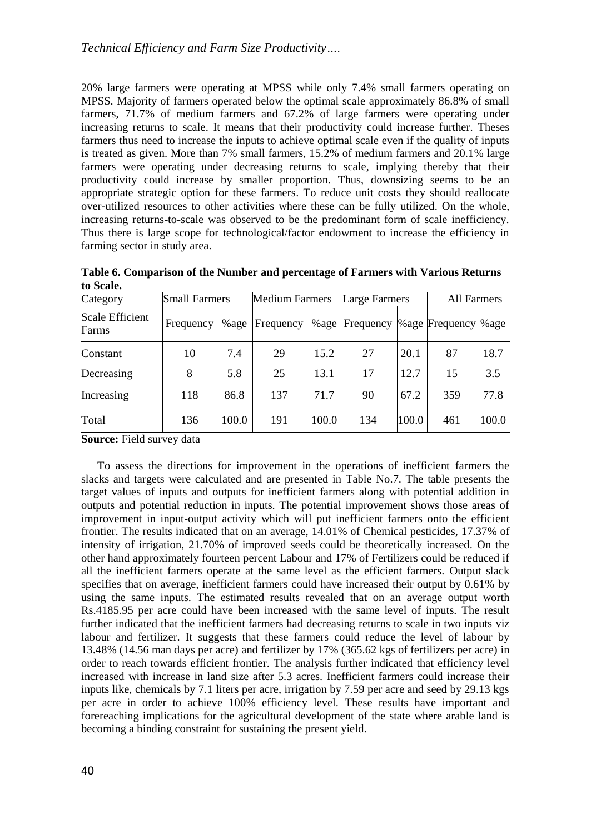20% large farmers were operating at MPSS while only 7.4% small farmers operating on MPSS. Majority of farmers operated below the optimal scale approximately 86.8% of small farmers, 71.7% of medium farmers and 67.2% of large farmers were operating under increasing returns to scale. It means that their productivity could increase further. Theses farmers thus need to increase the inputs to achieve optimal scale even if the quality of inputs is treated as given. More than 7% small farmers, 15.2% of medium farmers and 20.1% large farmers were operating under decreasing returns to scale, implying thereby that their productivity could increase by smaller proportion. Thus, downsizing seems to be an appropriate strategic option for these farmers. To reduce unit costs they should reallocate over-utilized resources to other activities where these can be fully utilized. On the whole, increasing returns-to-scale was observed to be the predominant form of scale inefficiency. Thus there is large scope for technological/factor endowment to increase the efficiency in farming sector in study area.

| Category                        | <b>Small Farmers</b> |         | <b>Medium Farmers</b> |       | Large Farmers  |       | All Farmers           |       |  |
|---------------------------------|----------------------|---------|-----------------------|-------|----------------|-------|-----------------------|-------|--|
| <b>Scale Efficient</b><br>Farms | Frequency            | $%$ age | Frequency             |       | %age Frequency |       | % age Frequency % age |       |  |
| Constant                        | 10                   | 7.4     | 29                    | 15.2  | 27             | 20.1  | 87                    | 18.7  |  |
| Decreasing                      | 8                    | 5.8     | 25                    | 13.1  | 17             | 12.7  | 15                    | 3.5   |  |
| Increasing                      | 118                  | 86.8    | 137                   | 71.7  | 90             | 67.2  | 359                   | 77.8  |  |
| Total                           | 136                  | 100.0   | 191                   | 100.0 | 134            | 100.0 | 461                   | 100.0 |  |

**Table 6. Comparison of the Number and percentage of Farmers with Various Returns to Scale.**

**Source:** Field survey data

To assess the directions for improvement in the operations of inefficient farmers the slacks and targets were calculated and are presented in Table No.7. The table presents the target values of inputs and outputs for inefficient farmers along with potential addition in outputs and potential reduction in inputs. The potential improvement shows those areas of improvement in input-output activity which will put inefficient farmers onto the efficient frontier. The results indicated that on an average, 14.01% of Chemical pesticides, 17.37% of intensity of irrigation, 21.70% of improved seeds could be theoretically increased. On the other hand approximately fourteen percent Labour and 17% of Fertilizers could be reduced if all the inefficient farmers operate at the same level as the efficient farmers. Output slack specifies that on average, inefficient farmers could have increased their output by 0.61% by using the same inputs. The estimated results revealed that on an average output worth Rs.4185.95 per acre could have been increased with the same level of inputs. The result further indicated that the inefficient farmers had decreasing returns to scale in two inputs viz labour and fertilizer. It suggests that these farmers could reduce the level of labour by 13.48% (14.56 man days per acre) and fertilizer by 17% (365.62 kgs of fertilizers per acre) in order to reach towards efficient frontier. The analysis further indicated that efficiency level increased with increase in land size after 5.3 acres. Inefficient farmers could increase their inputs like, chemicals by 7.1 liters per acre, irrigation by 7.59 per acre and seed by 29.13 kgs per acre in order to achieve 100% efficiency level. These results have important and forereaching implications for the agricultural development of the state where arable land is becoming a binding constraint for sustaining the present yield.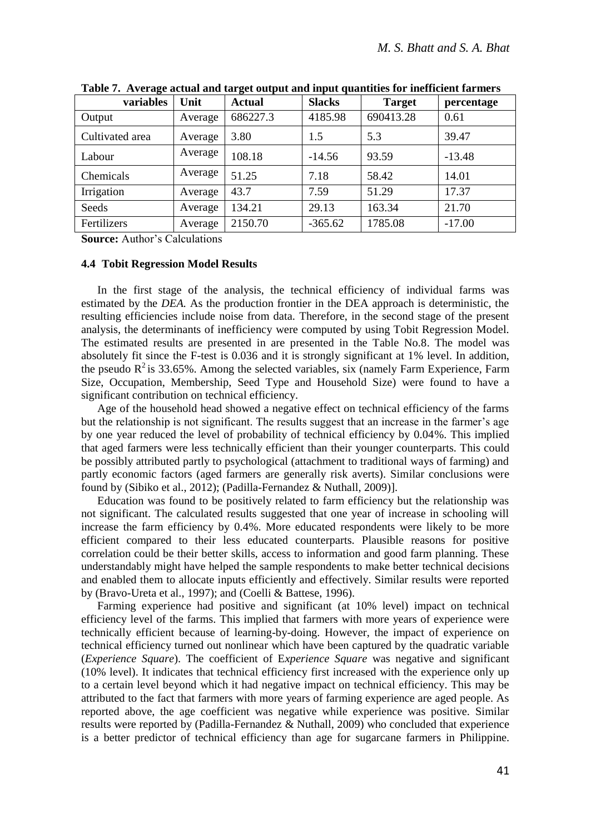| variables       | Unit    | Actual   | <b>Slacks</b> | <b>Target</b> | percentage |
|-----------------|---------|----------|---------------|---------------|------------|
| Output          | Average | 686227.3 | 4185.98       | 690413.28     | 0.61       |
| Cultivated area | Average | 3.80     | 1.5           | 5.3           | 39.47      |
| Labour          | Average | 108.18   | $-14.56$      | 93.59         | $-13.48$   |
| Chemicals       | Average | 51.25    | 7.18          | 58.42         | 14.01      |
| Irrigation      | Average | 43.7     | 7.59          | 51.29         | 17.37      |
| Seeds           | Average | 134.21   | 29.13         | 163.34        | 21.70      |
| Fertilizers     | Average | 2150.70  | $-365.62$     | 1785.08       | $-17.00$   |

**Table 7. Average actual and target output and input quantities for inefficient farmers**

**Source:** Author's Calculations

## **4.4 Tobit Regression Model Results**

In the first stage of the analysis, the technical efficiency of individual farms was estimated by the *DEA.* As the production frontier in the DEA approach is deterministic, the resulting efficiencies include noise from data. Therefore, in the second stage of the present analysis, the determinants of inefficiency were computed by using Tobit Regression Model. The estimated results are presented in are presented in the Table No.8. The model was absolutely fit since the F-test is 0.036 and it is strongly significant at 1% level. In addition, the pseudo  $R^2$  is 33.65%. Among the selected variables, six (namely Farm Experience, Farm Size, Occupation, Membership, Seed Type and Household Size) were found to have a significant contribution on technical efficiency.

Age of the household head showed a negative effect on technical efficiency of the farms but the relationship is not significant. The results suggest that an increase in the farmer's age by one year reduced the level of probability of technical efficiency by 0.04%. This implied that aged farmers were less technically efficient than their younger counterparts. This could be possibly attributed partly to psychological (attachment to traditional ways of farming) and partly economic factors (aged farmers are generally risk averts). Similar conclusions were found by (Sibiko et al., 2012); (Padilla-Fernandez & Nuthall, 2009)].

Education was found to be positively related to farm efficiency but the relationship was not significant. The calculated results suggested that one year of increase in schooling will increase the farm efficiency by 0.4%. More educated respondents were likely to be more efficient compared to their less educated counterparts. Plausible reasons for positive correlation could be their better skills, access to information and good farm planning. These understandably might have helped the sample respondents to make better technical decisions and enabled them to allocate inputs efficiently and effectively. Similar results were reported by (Bravo-Ureta et al., 1997); and (Coelli & Battese, 1996).

Farming experience had positive and significant (at 10% level) impact on technical efficiency level of the farms. This implied that farmers with more years of experience were technically efficient because of learning-by-doing. However, the impact of experience on technical efficiency turned out nonlinear which have been captured by the quadratic variable (*Experience Square*). The coefficient of E*xperience Square* was negative and significant (10% level). It indicates that technical efficiency first increased with the experience only up to a certain level beyond which it had negative impact on technical efficiency. This may be attributed to the fact that farmers with more years of farming experience are aged people. As reported above, the age coefficient was negative while experience was positive. Similar results were reported by (Padilla-Fernandez & Nuthall, 2009) who concluded that experience is a better predictor of technical efficiency than age for sugarcane farmers in Philippine.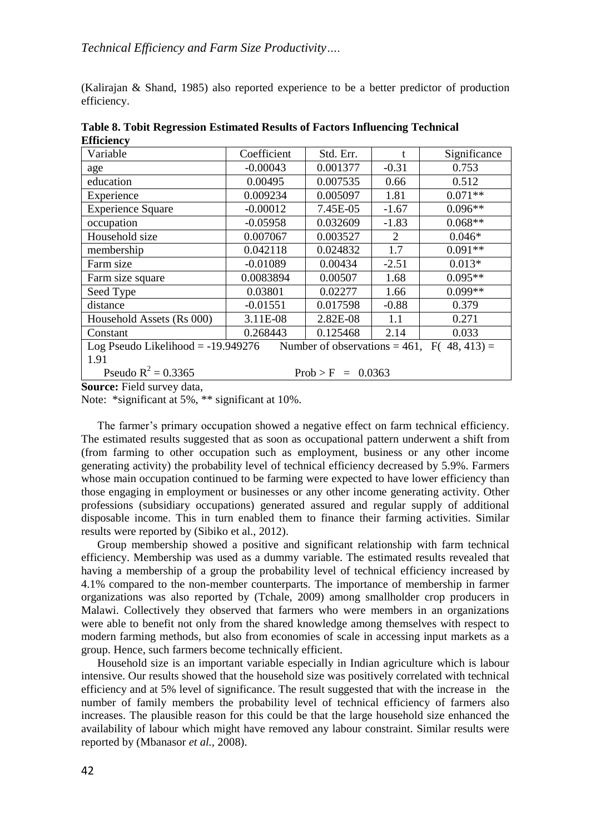(Kalirajan & Shand, 1985) also reported experience to be a better predictor of production efficiency.

| -----------                                                                            |             |           |                |              |  |  |  |
|----------------------------------------------------------------------------------------|-------------|-----------|----------------|--------------|--|--|--|
| Variable                                                                               | Coefficient | Std. Err. | t              | Significance |  |  |  |
| age                                                                                    | $-0.00043$  | 0.001377  | $-0.31$        | 0.753        |  |  |  |
| education                                                                              | 0.00495     | 0.007535  | 0.66           | 0.512        |  |  |  |
| Experience                                                                             | 0.009234    | 0.005097  | 1.81           | $0.071**$    |  |  |  |
| <b>Experience Square</b>                                                               | $-0.00012$  | 7.45E-05  | $-1.67$        | $0.096**$    |  |  |  |
| occupation                                                                             | $-0.05958$  | 0.032609  | $-1.83$        | $0.068**$    |  |  |  |
| Household size                                                                         | 0.007067    | 0.003527  | $\mathfrak{D}$ | $0.046*$     |  |  |  |
| membership                                                                             | 0.042118    | 0.024832  | 1.7            | $0.091**$    |  |  |  |
| Farm size                                                                              | $-0.01089$  | 0.00434   | $-2.51$        | $0.013*$     |  |  |  |
| Farm size square                                                                       | 0.0083894   | 0.00507   | 1.68           | $0.095**$    |  |  |  |
| Seed Type                                                                              | 0.03801     | 0.02277   | 1.66           | $0.099**$    |  |  |  |
| distance                                                                               | $-0.01551$  | 0.017598  | $-0.88$        | 0.379        |  |  |  |
| Household Assets (Rs 000)                                                              | 3.11E-08    | 2.82E-08  | 1.1            | 0.271        |  |  |  |
| Constant                                                                               | 0.268443    | 0.125468  | 2.14           | 0.033        |  |  |  |
| Log Pseudo Likelihood $= -19.949276$<br>Number of observations = 461, F( $48, 413$ ) = |             |           |                |              |  |  |  |
| 1.91                                                                                   |             |           |                |              |  |  |  |
| Pseudo $R^2 = 0.3365$<br>$Prob > F = 0.0363$                                           |             |           |                |              |  |  |  |

**Table 8. Tobit Regression Estimated Results of Factors Influencing Technical Efficiency**

**Source:** Field survey data,

Note: \*significant at 5%, \*\* significant at 10%.

The farmer's primary occupation showed a negative effect on farm technical efficiency. The estimated results suggested that as soon as occupational pattern underwent a shift from (from farming to other occupation such as employment, business or any other income generating activity) the probability level of technical efficiency decreased by 5.9%. Farmers whose main occupation continued to be farming were expected to have lower efficiency than those engaging in employment or businesses or any other income generating activity. Other professions (subsidiary occupations) generated assured and regular supply of additional disposable income. This in turn enabled them to finance their farming activities. Similar results were reported by (Sibiko et al., 2012).

Group membership showed a positive and significant relationship with farm technical efficiency. Membership was used as a dummy variable. The estimated results revealed that having a membership of a group the probability level of technical efficiency increased by 4.1% compared to the non-member counterparts. The importance of membership in farmer organizations was also reported by (Tchale, 2009) among smallholder crop producers in Malawi. Collectively they observed that farmers who were members in an organizations were able to benefit not only from the shared knowledge among themselves with respect to modern farming methods, but also from economies of scale in accessing input markets as a group. Hence, such farmers become technically efficient.

Household size is an important variable especially in Indian agriculture which is labour intensive. Our results showed that the household size was positively correlated with technical efficiency and at 5% level of significance. The result suggested that with the increase in the number of family members the probability level of technical efficiency of farmers also increases. The plausible reason for this could be that the large household size enhanced the availability of labour which might have removed any labour constraint. Similar results were reported by (Mbanasor *et al.,* 2008).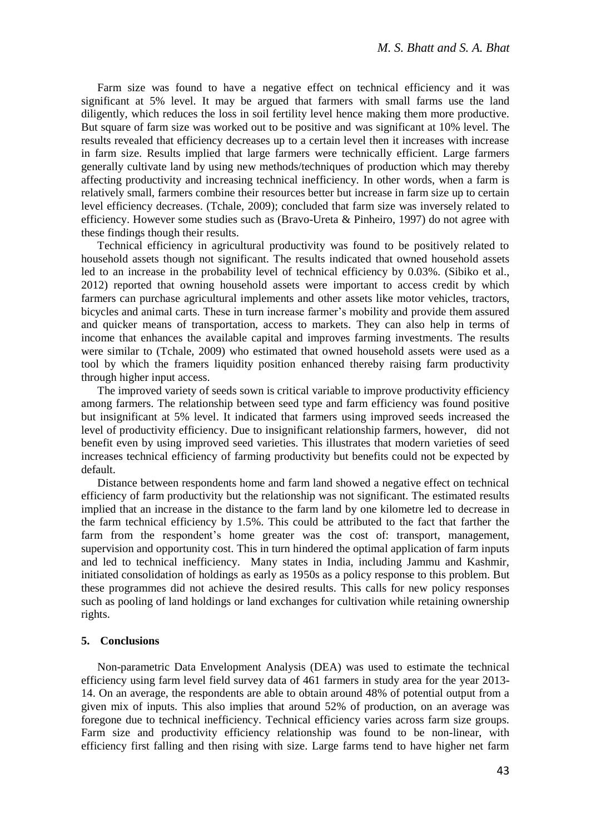Farm size was found to have a negative effect on technical efficiency and it was significant at 5% level. It may be argued that farmers with small farms use the land diligently, which reduces the loss in soil fertility level hence making them more productive. But square of farm size was worked out to be positive and was significant at 10% level. The results revealed that efficiency decreases up to a certain level then it increases with increase in farm size. Results implied that large farmers were technically efficient. Large farmers generally cultivate land by using new methods/techniques of production which may thereby affecting productivity and increasing technical inefficiency. In other words, when a farm is relatively small, farmers combine their resources better but increase in farm size up to certain level efficiency decreases. (Tchale, 2009); concluded that farm size was inversely related to efficiency. However some studies such as (Bravo-Ureta & Pinheiro, 1997) do not agree with these findings though their results.

Technical efficiency in agricultural productivity was found to be positively related to household assets though not significant. The results indicated that owned household assets led to an increase in the probability level of technical efficiency by 0.03%. (Sibiko et al., 2012) reported that owning household assets were important to access credit by which farmers can purchase agricultural implements and other assets like motor vehicles, tractors, bicycles and animal carts. These in turn increase farmer's mobility and provide them assured and quicker means of transportation, access to markets. They can also help in terms of income that enhances the available capital and improves farming investments. The results were similar to (Tchale, 2009) who estimated that owned household assets were used as a tool by which the framers liquidity position enhanced thereby raising farm productivity through higher input access.

The improved variety of seeds sown is critical variable to improve productivity efficiency among farmers. The relationship between seed type and farm efficiency was found positive but insignificant at 5% level. It indicated that farmers using improved seeds increased the level of productivity efficiency. Due to insignificant relationship farmers, however, did not benefit even by using improved seed varieties. This illustrates that modern varieties of seed increases technical efficiency of farming productivity but benefits could not be expected by default.

Distance between respondents home and farm land showed a negative effect on technical efficiency of farm productivity but the relationship was not significant. The estimated results implied that an increase in the distance to the farm land by one kilometre led to decrease in the farm technical efficiency by 1.5%. This could be attributed to the fact that farther the farm from the respondent's home greater was the cost of: transport, management, supervision and opportunity cost. This in turn hindered the optimal application of farm inputs and led to technical inefficiency. Many states in India, including Jammu and Kashmir, initiated consolidation of holdings as early as 1950s as a policy response to this problem. But these programmes did not achieve the desired results. This calls for new policy responses such as pooling of land holdings or land exchanges for cultivation while retaining ownership rights.

#### **5. Conclusions**

Non-parametric Data Envelopment Analysis (DEA) was used to estimate the technical efficiency using farm level field survey data of 461 farmers in study area for the year 2013- 14. On an average, the respondents are able to obtain around 48% of potential output from a given mix of inputs. This also implies that around 52% of production, on an average was foregone due to technical inefficiency. Technical efficiency varies across farm size groups. Farm size and productivity efficiency relationship was found to be non-linear, with efficiency first falling and then rising with size. Large farms tend to have higher net farm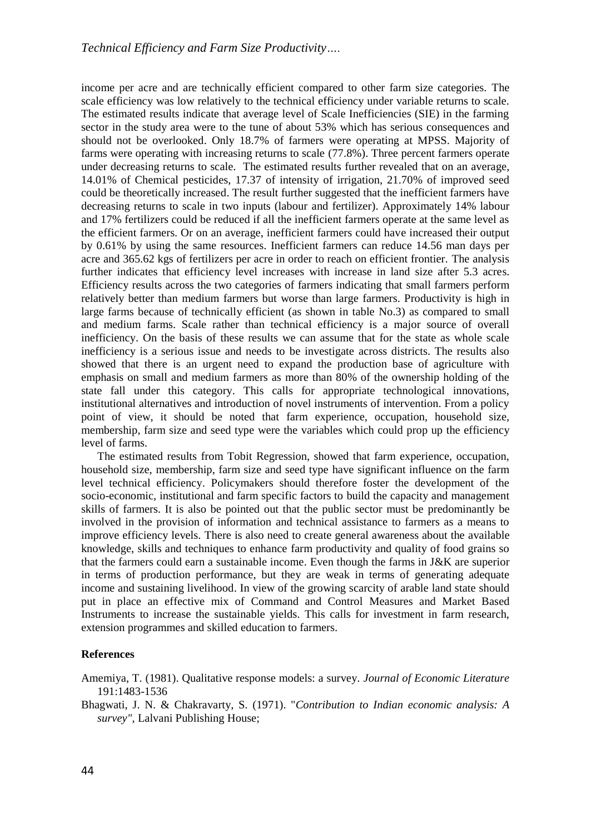income per acre and are technically efficient compared to other farm size categories. The scale efficiency was low relatively to the technical efficiency under variable returns to scale. The estimated results indicate that average level of Scale Inefficiencies (SIE) in the farming sector in the study area were to the tune of about 53% which has serious consequences and should not be overlooked. Only 18.7% of farmers were operating at MPSS. Majority of farms were operating with increasing returns to scale (77.8%). Three percent farmers operate under decreasing returns to scale. The estimated results further revealed that on an average, 14.01% of Chemical pesticides, 17.37 of intensity of irrigation, 21.70% of improved seed could be theoretically increased. The result further suggested that the inefficient farmers have decreasing returns to scale in two inputs (labour and fertilizer). Approximately 14% labour and 17% fertilizers could be reduced if all the inefficient farmers operate at the same level as the efficient farmers. Or on an average, inefficient farmers could have increased their output by 0.61% by using the same resources. Inefficient farmers can reduce 14.56 man days per acre and 365.62 kgs of fertilizers per acre in order to reach on efficient frontier. The analysis further indicates that efficiency level increases with increase in land size after 5.3 acres. Efficiency results across the two categories of farmers indicating that small farmers perform relatively better than medium farmers but worse than large farmers. Productivity is high in large farms because of technically efficient (as shown in table No.3) as compared to small and medium farms. Scale rather than technical efficiency is a major source of overall inefficiency. On the basis of these results we can assume that for the state as whole scale inefficiency is a serious issue and needs to be investigate across districts. The results also showed that there is an urgent need to expand the production base of agriculture with emphasis on small and medium farmers as more than 80% of the ownership holding of the state fall under this category. This calls for appropriate technological innovations, institutional alternatives and introduction of novel instruments of intervention. From a policy point of view, it should be noted that farm experience, occupation, household size, membership, farm size and seed type were the variables which could prop up the efficiency level of farms.

The estimated results from Tobit Regression, showed that farm experience, occupation, household size, membership, farm size and seed type have significant influence on the farm level technical efficiency. Policymakers should therefore foster the development of the socio-economic, institutional and farm specific factors to build the capacity and management skills of farmers. It is also be pointed out that the public sector must be predominantly be involved in the provision of information and technical assistance to farmers as a means to improve efficiency levels. There is also need to create general awareness about the available knowledge, skills and techniques to enhance farm productivity and quality of food grains so that the farmers could earn a sustainable income. Even though the farms in J&K are superior in terms of production performance, but they are weak in terms of generating adequate income and sustaining livelihood. In view of the growing scarcity of arable land state should put in place an effective mix of Command and Control Measures and Market Based Instruments to increase the sustainable yields. This calls for investment in farm research, extension programmes and skilled education to farmers.

## **References**

Amemiya, T. (1981). Qualitative response models: a survey. *Journal of Economic Literature* 191:1483-1536

Bhagwati, J. N. & Chakravarty, S. (1971). "*Contribution to Indian economic analysis: A survey"*, Lalvani Publishing House;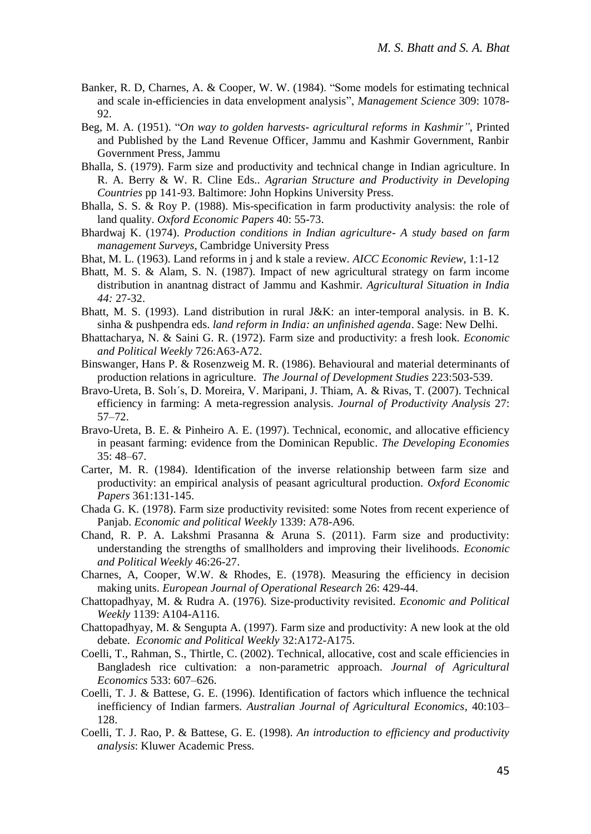- Banker, R. D, Charnes, A. & Cooper, W. W. (1984). "Some models for estimating technical and scale in-efficiencies in data envelopment analysis", *Management Science* 309: 1078- 92.
- Beg, M. A. (1951). "*On way to golden harvests- agricultural reforms in Kashmir"*, Printed and Published by the Land Revenue Officer, Jammu and Kashmir Government, Ranbir Government Press, Jammu
- Bhalla, S. (1979). Farm size and productivity and technical change in Indian agriculture. In R. A. Berry & W. R. Cline Eds.. *Agrarian Structure and Productivity in Developing Countries* pp 141-93. Baltimore: John Hopkins University Press.
- Bhalla, S. S. & Roy P. (1988). Mis-specification in farm productivity analysis: the role of land quality. *Oxford Economic Papers* 40: 55-73.
- Bhardwaj K. (1974). *Production conditions in Indian agriculture- A study based on farm management Surveys*, Cambridge University Press
- Bhat, M. L. (1963). Land reforms in j and k stale a review*. AICC Economic Review*, 1:1-12
- Bhatt, M. S. & Alam, S. N. (1987). Impact of new agricultural strategy on farm income distribution in anantnag distract of Jammu and Kashmir. *Agricultural Situation in India 44:* 27-32.
- Bhatt, M. S. (1993). Land distribution in rural J&K: an inter-temporal analysis. in B. K. sinha & pushpendra eds. *land reform in India: an unfinished agenda*. Sage: New Delhi.
- Bhattacharya, N. & Saini G. R. (1972). Farm size and productivity: a fresh look. *Economic and Political Weekly* 726:A63-A72.
- Binswanger, Hans P. & Rosenzweig M. R. (1986). Behavioural and material determinants of production relations in agriculture. *The Journal of Development Studies* 223:503-539.
- Bravo-Ureta, B. Solı´s, D. Moreira, V. Maripani, J. Thiam, A. & Rivas, T. (2007). Technical efficiency in farming: A meta-regression analysis. *Journal of Productivity Analysis* 27: 57–72.
- Bravo-Ureta, B. E. & Pinheiro A. E. (1997). Technical, economic, and allocative efficiency in peasant farming: evidence from the Dominican Republic. *The Developing Economies* 35: 48–67.
- Carter, M. R. (1984). Identification of the inverse relationship between farm size and productivity: an empirical analysis of peasant agricultural production. *Oxford Economic Papers* 361:131-145.
- Chada G. K. (1978). Farm size productivity revisited: some Notes from recent experience of Panjab. *Economic and political Weekly* 1339: A78-A96.
- Chand, R. P. A. Lakshmi Prasanna & Aruna S. (2011). Farm size and productivity: understanding the strengths of smallholders and improving their livelihoods. *Economic and Political Weekly* 46:26-27.
- Charnes, A, Cooper, W.W. & Rhodes, E. (1978). Measuring the efficiency in decision making units. *European Journal of Operational Research* 26: 429-44.
- Chattopadhyay, M. & Rudra A. (1976). Size-productivity revisited. *Economic and Political Weekly* 1139: A104-A116.
- Chattopadhyay, M. & Sengupta A. (1997). Farm size and productivity: A new look at the old debate. *Economic and Political Weekly* 32:A172-A175.
- Coelli, T., Rahman, S., Thirtle, C. (2002). Technical, allocative, cost and scale efficiencies in Bangladesh rice cultivation: a non-parametric approach. *Journal of Agricultural Economics* 533: 607–626.
- Coelli, T. J. & Battese, G. E. (1996). Identification of factors which influence the technical inefficiency of Indian farmers. *Australian Journal of Agricultural Economics*, 40:103– 128.
- Coelli, T. J. Rao, P. & Battese, G. E. (1998). *An introduction to efficiency and productivity analysis*: Kluwer Academic Press.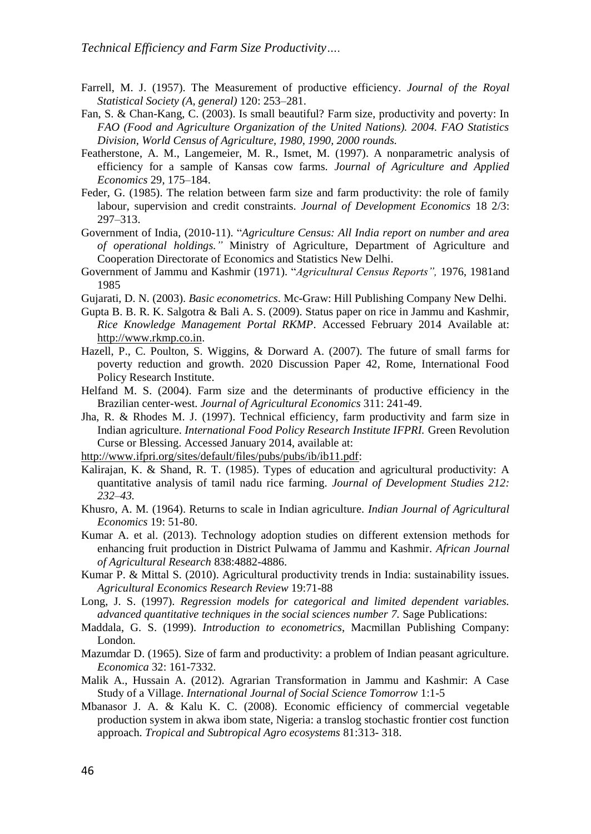- Farrell, M. J. (1957). The Measurement of productive efficiency. *Journal of the Royal Statistical Society (A, general)* 120: 253–281.
- Fan, S. & Chan-Kang, C. (2003). Is small beautiful? Farm size, productivity and poverty: In *FAO (Food and Agriculture Organization of the United Nations). 2004. FAO Statistics Division, World Census of Agriculture, 1980, 1990, 2000 rounds.*
- Featherstone, A. M., Langemeier, M. R., Ismet, M. (1997). A nonparametric analysis of efficiency for a sample of Kansas cow farms. *Journal of Agriculture and Applied Economics* 29, 175–184.
- Feder, G. (1985). The relation between farm size and farm productivity: the role of family labour, supervision and credit constraints. *Journal of Development Economics* 18 2/3: 297–313.
- Government of India, (2010-11). "*Agriculture Census: All India report on number and area of operational holdings."* Ministry of Agriculture, Department of Agriculture and Cooperation Directorate of Economics and Statistics New Delhi.
- Government of Jammu and Kashmir (1971). "*Agricultural Census Reports",* 1976, 1981and 1985
- Gujarati, D. N. (2003). *Basic econometrics*. Mc-Graw: Hill Publishing Company New Delhi.
- Gupta B. B. R. K. Salgotra & Bali A. S. (2009). Status paper on rice in Jammu and Kashmir, *Rice Knowledge Management Portal RKMP*. Accessed February 2014 Available at: [http://www.rkmp.co.in.](http://www.rkmp.co.in/)
- Hazell, P., C. Poulton, S. Wiggins, & Dorward A. (2007). The future of small farms for poverty reduction and growth. 2020 Discussion Paper 42, Rome, International Food Policy Research Institute.
- Helfand M. S. (2004). Farm size and the determinants of productive efficiency in the Brazilian center-west. *Journal of Agricultural Economics* 311: 241-49.
- Jha, R. & Rhodes M. J. (1997). Technical efficiency, farm productivity and farm size in Indian agriculture. *International Food Policy Research Institute IFPRI.* Green Revolution Curse or Blessing. Accessed January 2014, available at:
- [http://www.ifpri.org/sites/default/files/pubs/pubs/ib/ib11.pdf:](http://www.ifpri.org/sites/default/files/pubs/pubs/ib/ib11.pdf)
- Kalirajan, K. & Shand, R. T. (1985). Types of education and agricultural productivity: A quantitative analysis of tamil nadu rice farming. *Journal of Development Studies 212: 232–43.*
- Khusro, A. M. (1964). Returns to scale in Indian agriculture. *Indian Journal of Agricultural Economics* 19: 51-80.
- Kumar A. et al. (2013). Technology adoption studies on different extension methods for enhancing fruit production in District Pulwama of Jammu and Kashmir. *African Journal of Agricultural Research* 838:4882-4886.
- Kumar P. & Mittal S. (2010). Agricultural productivity trends in India: sustainability issues. *Agricultural Economics Research Review* 19:71-88
- Long, J. S. (1997). *Regression models for categorical and limited dependent variables. advanced quantitative techniques in the social sciences number 7.* Sage Publications:
- Maddala, G. S. (1999). *Introduction to econometrics*, Macmillan Publishing Company: London.
- Mazumdar D. (1965). Size of farm and productivity: a problem of Indian peasant agriculture. *Economica* 32: 161-7332.
- Malik A., Hussain A. (2012). Agrarian Transformation in Jammu and Kashmir: A Case Study of a Village. *International Journal of Social Science Tomorrow* 1:1-5
- Mbanasor J. A. & Kalu K. C. (2008). Economic efficiency of commercial vegetable production system in akwa ibom state, Nigeria: a translog stochastic frontier cost function approach. *Tropical and Subtropical Agro ecosystems* 81:313- 318.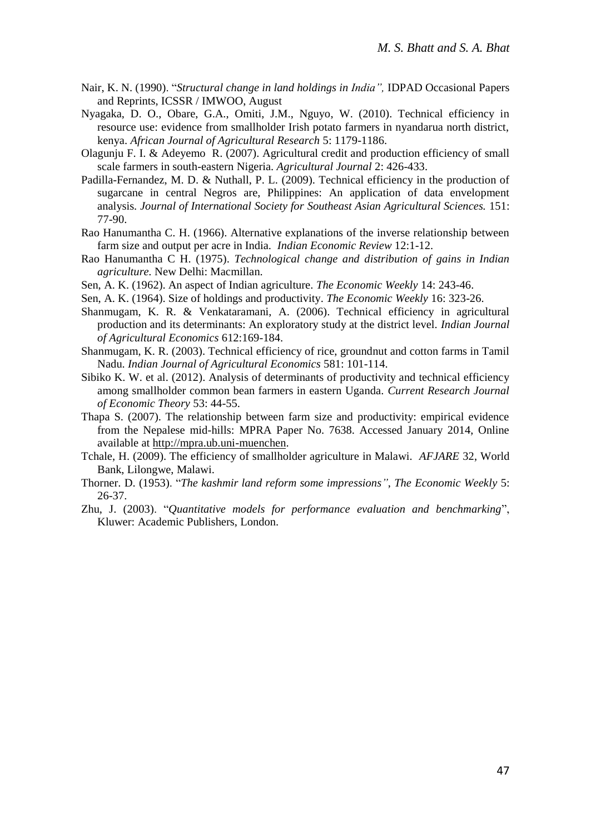- Nair, K. N. (1990). "*Structural change in land holdings in India",* IDPAD Occasional Papers and Reprints, ICSSR / IMWOO, August
- Nyagaka, D. O., Obare, G.A., Omiti, J.M., Nguyo, W. (2010). Technical efficiency in resource use: evidence from smallholder Irish potato farmers in nyandarua north district, kenya. *African Journal of Agricultural Research* 5: 1179-1186.
- Olagunju F. I. & Adeyemo R. (2007). Agricultural credit and production efficiency of small scale farmers in south-eastern Nigeria. *Agricultural Journal* 2: 426-433.
- Padilla-Fernandez, M. D. & Nuthall, P. L. (2009). Technical efficiency in the production of sugarcane in central Negros are, Philippines: An application of data envelopment analysis. *Journal of International Society for Southeast Asian Agricultural Sciences.* 151: 77-90.
- Rao Hanumantha C. H. (1966). Alternative explanations of the inverse relationship between farm size and output per acre in India. *Indian Economic Review* 12:1-12.
- Rao Hanumantha C H. (1975). *Technological change and distribution of gains in Indian agriculture.* New Delhi: Macmillan.
- Sen, A. K. (1962). An aspect of Indian agriculture. *The Economic Weekly* 14: 243-46.
- Sen, A. K. (1964). Size of holdings and productivity. *The Economic Weekly* 16: 323-26.
- Shanmugam, K. R. & Venkataramani, A. (2006). Technical efficiency in agricultural production and its determinants: An exploratory study at the district level. *Indian Journal of Agricultural Economics* 612:169-184.
- Shanmugam, K. R. (2003). Technical efficiency of rice, groundnut and cotton farms in Tamil Nadu. *Indian Journal of Agricultural Economics* 581: 101-114.
- Sibiko K. W. et al. (2012). Analysis of determinants of productivity and technical efficiency among smallholder common bean farmers in eastern Uganda. *Current Research Journal of Economic Theory* 53: 44-55.
- Thapa S. (2007). The relationship between farm size and productivity: empirical evidence from the Nepalese mid-hills: MPRA Paper No. 7638. Accessed January 2014, Online available at [http://mpra.ub.uni-muenchen.](http://mpra.ub.uni-muenchen/)
- Tchale, H. (2009). The efficiency of smallholder agriculture in Malawi. *AFJARE* 32, World Bank, Lilongwe, Malawi.
- Thorner. D. (1953). "*The kashmir land reform some impressions"*, *The Economic Weekly* 5: 26-37.
- Zhu, J. (2003). "*Quantitative models for performance evaluation and benchmarking*", Kluwer: Academic Publishers, London.